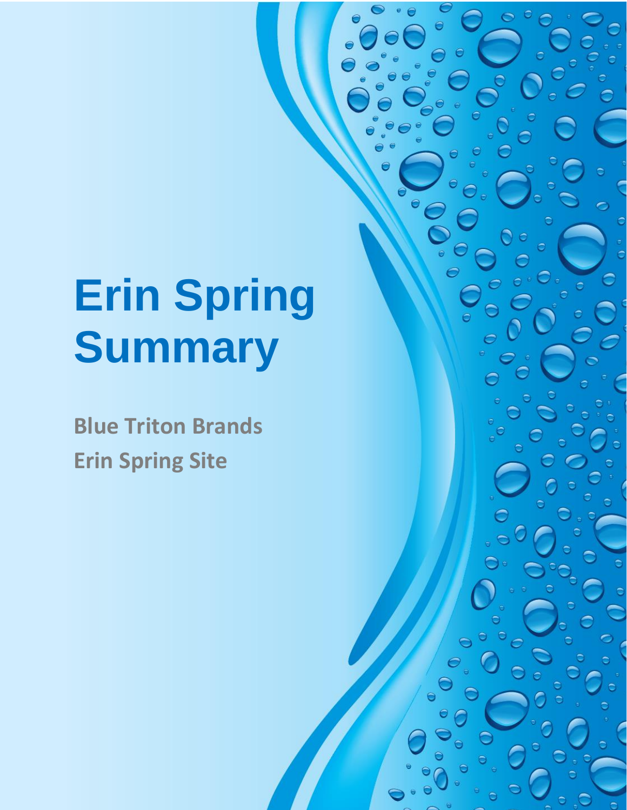# **Erin Spring Summary**

**Blue Triton Brands Erin Spring Site**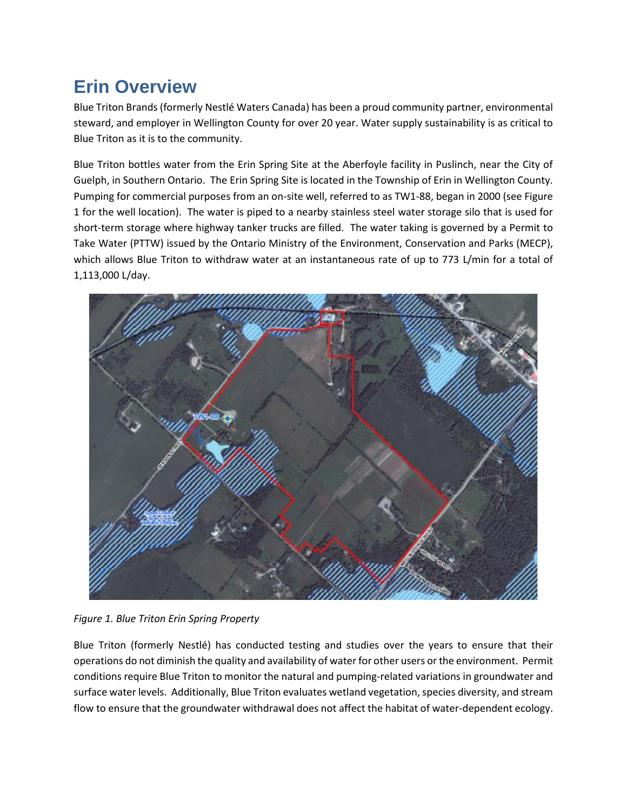# **Erin Overview**

Blue Triton Brands (formerly Nestlé Waters Canada) has been a proud community partner, environmental steward, and employer in Wellington County for over 20 year. Water supply sustainability is as critical to Blue Triton as it is to the community.

Blue Triton bottles water from the Erin Spring Site at the Aberfoyle facility in Puslinch, near the City of Guelph, in Southern Ontario. The Erin Spring Site is located in the Township of Erin in Wellington County. Pumping for commercial purposes from an on-site well, referred to as TW1-88, began in 2000 (see Figure 1 for the well location). The water is piped to a nearby stainless steel water storage silo that is used for short-term storage where highway tanker trucks are filled. The water taking is governed by a Permit to Take Water (PTTW) issued by the Ontario Ministry of the Environment, Conservation and Parks (MECP), which allows Blue Triton to withdraw water at an instantaneous rate of up to 773 L/min for a total of 1,113,000 L/day.



*Figure 1. Blue Triton Erin Spring Property*

Blue Triton (formerly Nestlé) has conducted testing and studies over the years to ensure that their operations do not diminish the quality and availability of water for other users or the environment. Permit conditions require Blue Triton to monitor the natural and pumping-related variations in groundwater and surface water levels. Additionally, Blue Triton evaluates wetland vegetation, species diversity, and stream flow to ensure that the groundwater withdrawal does not affect the habitat of water-dependent ecology.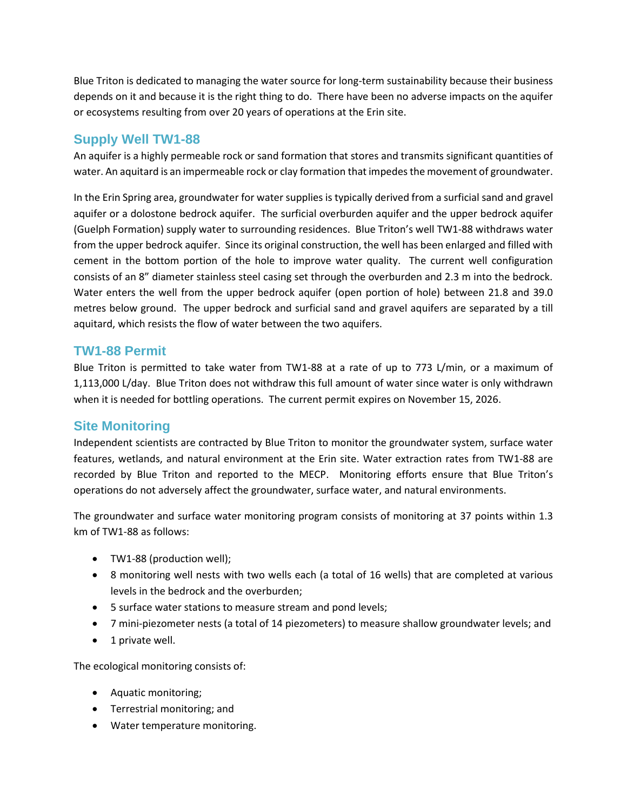Blue Triton is dedicated to managing the water source for long-term sustainability because their business depends on it and because it is the right thing to do. There have been no adverse impacts on the aquifer or ecosystems resulting from over 20 years of operations at the Erin site.

## **Supply Well TW1-88**

An aquifer is a highly permeable rock or sand formation that stores and transmits significant quantities of water. An aquitard is an impermeable rock or clay formation that impedes the movement of groundwater.

In the Erin Spring area, groundwater for water supplies is typically derived from a surficial sand and gravel aquifer or a dolostone bedrock aquifer. The surficial overburden aquifer and the upper bedrock aquifer (Guelph Formation) supply water to surrounding residences. Blue Triton's well TW1-88 withdraws water from the upper bedrock aquifer. Since its original construction, the well has been enlarged and filled with cement in the bottom portion of the hole to improve water quality. The current well configuration consists of an 8" diameter stainless steel casing set through the overburden and 2.3 m into the bedrock. Water enters the well from the upper bedrock aquifer (open portion of hole) between 21.8 and 39.0 metres below ground. The upper bedrock and surficial sand and gravel aquifers are separated by a till aquitard, which resists the flow of water between the two aquifers.

#### **TW1-88 Permit**

Blue Triton is permitted to take water from TW1-88 at a rate of up to 773 L/min, or a maximum of 1,113,000 L/day. Blue Triton does not withdraw this full amount of water since water is only withdrawn when it is needed for bottling operations. The current permit expires on November 15, 2026.

### **Site Monitoring**

Independent scientists are contracted by Blue Triton to monitor the groundwater system, surface water features, wetlands, and natural environment at the Erin site. Water extraction rates from TW1-88 are recorded by Blue Triton and reported to the MECP. Monitoring efforts ensure that Blue Triton's operations do not adversely affect the groundwater, surface water, and natural environments.

The groundwater and surface water monitoring program consists of monitoring at 37 points within 1.3 km of TW1-88 as follows:

- TW1-88 (production well);
- 8 monitoring well nests with two wells each (a total of 16 wells) that are completed at various levels in the bedrock and the overburden;
- 5 surface water stations to measure stream and pond levels;
- 7 mini-piezometer nests (a total of 14 piezometers) to measure shallow groundwater levels; and
- 1 private well.

The ecological monitoring consists of:

- Aquatic monitoring;
- Terrestrial monitoring; and
- Water temperature monitoring.